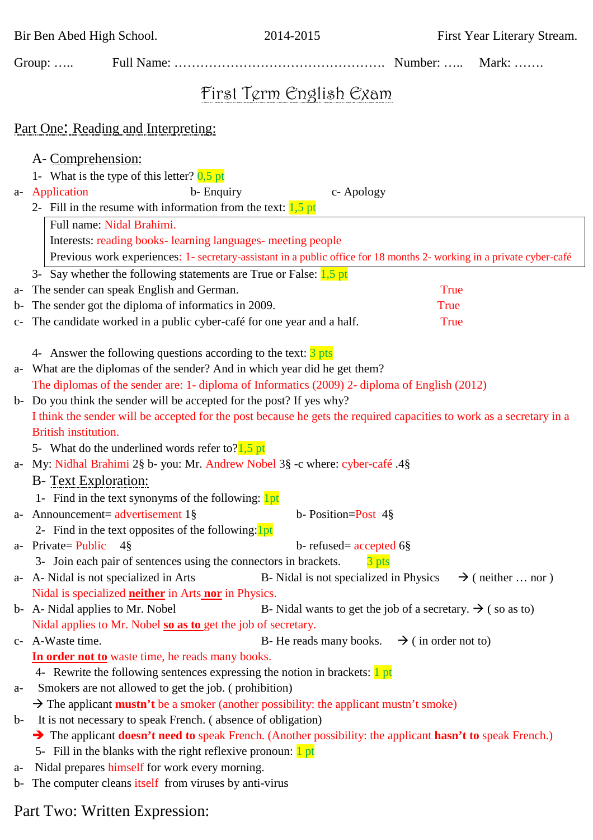Bir Ben Abed High School. 2014-2015 First Year Literary Stream.

|                                     | Group: $\dots$                                                                                                                                                                                       |                                                                                                |                                                                        | Number:     | Mark: $\dots$ |  |
|-------------------------------------|------------------------------------------------------------------------------------------------------------------------------------------------------------------------------------------------------|------------------------------------------------------------------------------------------------|------------------------------------------------------------------------|-------------|---------------|--|
| First Term English Exam             |                                                                                                                                                                                                      |                                                                                                |                                                                        |             |               |  |
| Part One: Reading and Interpreting: |                                                                                                                                                                                                      |                                                                                                |                                                                        |             |               |  |
|                                     |                                                                                                                                                                                                      |                                                                                                |                                                                        |             |               |  |
|                                     | A- Comprehension:                                                                                                                                                                                    |                                                                                                |                                                                        |             |               |  |
|                                     |                                                                                                                                                                                                      | 1- What is the type of this letter? $0,5$ pt                                                   |                                                                        |             |               |  |
|                                     | a- Application                                                                                                                                                                                       | b-Enquiry                                                                                      | c- Apology                                                             |             |               |  |
|                                     | 2- Fill in the resume with information from the text: $\frac{1}{5}$ pt                                                                                                                               |                                                                                                |                                                                        |             |               |  |
|                                     | Full name: Nidal Brahimi.                                                                                                                                                                            |                                                                                                |                                                                        |             |               |  |
|                                     | Interests: reading books-learning languages- meeting people                                                                                                                                          |                                                                                                |                                                                        |             |               |  |
|                                     | Previous work experiences: 1- secretary-assistant in a public office for 18 months 2- working in a private cyber-café<br>3- Say whether the following statements are True or False: $\frac{1}{5}$ pt |                                                                                                |                                                                        |             |               |  |
|                                     |                                                                                                                                                                                                      |                                                                                                |                                                                        | True        |               |  |
| a-<br>$b-$                          |                                                                                                                                                                                                      | The sender can speak English and German.<br>The sender got the diploma of informatics in 2009. |                                                                        | <b>True</b> |               |  |
| $C-$                                |                                                                                                                                                                                                      | The candidate worked in a public cyber-café for one year and a half.                           |                                                                        | <b>True</b> |               |  |
|                                     |                                                                                                                                                                                                      |                                                                                                |                                                                        |             |               |  |
|                                     | 4- Answer the following questions according to the text: $\frac{3 \text{ pts}}{2 \text{ pts}}$                                                                                                       |                                                                                                |                                                                        |             |               |  |
| a-                                  | What are the diplomas of the sender? And in which year did he get them?                                                                                                                              |                                                                                                |                                                                        |             |               |  |
|                                     | The diplomas of the sender are: 1- diploma of Informatics (2009) 2- diploma of English (2012)                                                                                                        |                                                                                                |                                                                        |             |               |  |
|                                     | b- Do you think the sender will be accepted for the post? If yes why?                                                                                                                                |                                                                                                |                                                                        |             |               |  |
|                                     | I think the sender will be accepted for the post because he gets the required capacities to work as a secretary in a                                                                                 |                                                                                                |                                                                        |             |               |  |
|                                     | <b>British institution.</b>                                                                                                                                                                          |                                                                                                |                                                                        |             |               |  |
|                                     | 5- What do the underlined words refer to? $\frac{1}{2}$ , pt                                                                                                                                         |                                                                                                |                                                                        |             |               |  |
|                                     | a- My: Nidhal Brahimi 2§ b- you: Mr. Andrew Nobel 3§ -c where: cyber-café .4§                                                                                                                        |                                                                                                |                                                                        |             |               |  |
|                                     | <b>B-</b> Text Exploration:                                                                                                                                                                          |                                                                                                |                                                                        |             |               |  |
|                                     |                                                                                                                                                                                                      | 1- Find in the text synonyms of the following: lpt                                             |                                                                        |             |               |  |
|                                     |                                                                                                                                                                                                      | a- Announcement= advertisement 1§                                                              | b- Position=Post $4\frac{8}{9}$                                        |             |               |  |
|                                     |                                                                                                                                                                                                      | 2- Find in the text opposites of the following: lpt                                            |                                                                        |             |               |  |
|                                     | a- Private = Public $4\$                                                                                                                                                                             |                                                                                                | b- refused = $\operatorname{accepted}$ 6 \&                            |             |               |  |
|                                     | 3- Join each pair of sentences using the connectors in brackets.<br>3 pts                                                                                                                            |                                                                                                |                                                                        |             |               |  |
|                                     |                                                                                                                                                                                                      | a- A-Nidal is not specialized in Arts                                                          | B- Nidal is not specialized in Physics $\rightarrow$ (neither  nor)    |             |               |  |
|                                     | Nidal is specialized <b>neither</b> in Arts nor in Physics.                                                                                                                                          |                                                                                                |                                                                        |             |               |  |
|                                     | b- A- Nidal applies to Mr. Nobel                                                                                                                                                                     |                                                                                                | B- Nidal wants to get the job of a secretary. $\rightarrow$ (so as to) |             |               |  |
|                                     |                                                                                                                                                                                                      | Nidal applies to Mr. Nobel so as to get the job of secretary.                                  |                                                                        |             |               |  |
|                                     | c- A-Waste time.                                                                                                                                                                                     |                                                                                                | B- He reads many books. $\rightarrow$ (in order not to)                |             |               |  |
|                                     | In order not to waste time, he reads many books.                                                                                                                                                     |                                                                                                |                                                                        |             |               |  |
|                                     | 4- Rewrite the following sentences expressing the notion in brackets: <b>1</b> pt                                                                                                                    |                                                                                                |                                                                        |             |               |  |
| a-                                  | Smokers are not allowed to get the job. (prohibition)                                                                                                                                                |                                                                                                |                                                                        |             |               |  |
| $b-$                                | $\rightarrow$ The applicant <b>mustn't</b> be a smoker (another possibility: the applicant mustn't smoke)<br>It is not necessary to speak French. (absence of obligation)                            |                                                                                                |                                                                        |             |               |  |
|                                     | $\rightarrow$ The applicant <b>doesn't need to</b> speak French. (Another possibility: the applicant <b>hasn't to</b> speak French.)                                                                 |                                                                                                |                                                                        |             |               |  |
|                                     | 5- Fill in the blanks with the right reflexive pronoun: 1 pt                                                                                                                                         |                                                                                                |                                                                        |             |               |  |
| a-                                  |                                                                                                                                                                                                      | Nidal prepares himself for work every morning.                                                 |                                                                        |             |               |  |
|                                     |                                                                                                                                                                                                      | b- The computer cleans itself from viruses by anti-virus                                       |                                                                        |             |               |  |

## Part Two: Written Expression: